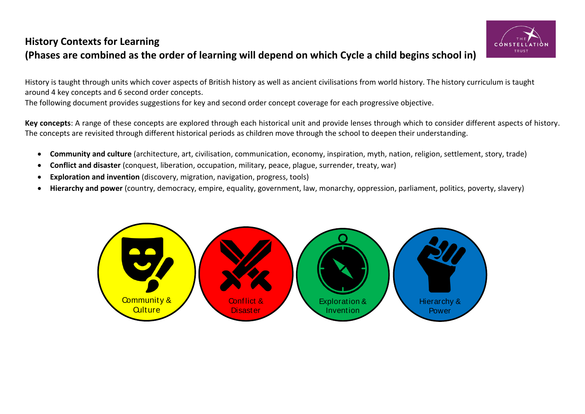## **History Contexts for Learning (Phases are combined as the order of learning will depend on which Cycle a child begins school in)**



History is taught through units which cover aspects of British history as well as ancient civilisations from world history. The history curriculum is taught around 4 key concepts and 6 second order concepts. The following document provides suggestions for key and second order concept coverage for each progressive objective.

**Key concepts**: A range of these concepts are explored through each historical unit and provide lenses through which to consider different aspects of history. The concepts are revisited through different historical periods as children move through the school to deepen their understanding.

- **Community and culture** (architecture, art, civilisation, communication, economy, inspiration, myth, nation, religion, settlement, story, trade)
- **Conflict and disaster** (conquest, liberation, occupation, military, peace, plague, surrender, treaty, war)
- **Exploration and invention** (discovery, migration, navigation, progress, tools)
- **Hierarchy and power** (country, democracy, empire, equality, government, law, monarchy, oppression, parliament, politics, poverty, slavery)

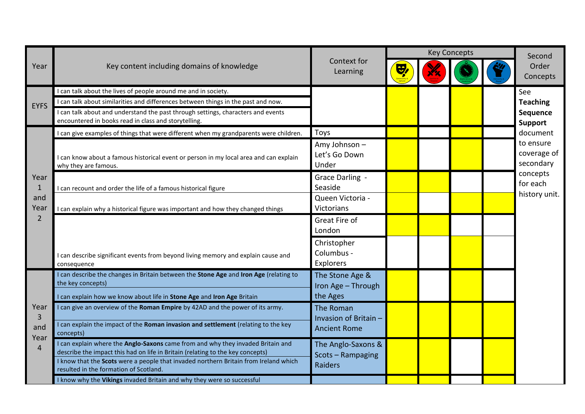|                        |                                                                                                                                                                   |                                                    |                     | <b>Key Concepts</b> |  | Second                                                                                                                                             |
|------------------------|-------------------------------------------------------------------------------------------------------------------------------------------------------------------|----------------------------------------------------|---------------------|---------------------|--|----------------------------------------------------------------------------------------------------------------------------------------------------|
| Year                   | Key content including domains of knowledge                                                                                                                        | Context for<br>Learning                            | $\ddot{\mathbf{y}}$ |                     |  | Order<br>Concepts                                                                                                                                  |
|                        | can talk about the lives of people around me and in society.                                                                                                      |                                                    |                     |                     |  | See<br><b>Teaching</b><br>Sequence<br><b>Support</b><br>document<br>to ensure<br>coverage of<br>secondary<br>concepts<br>for each<br>history unit. |
| <b>EYFS</b>            | can talk about similarities and differences between things in the past and now.                                                                                   |                                                    |                     |                     |  |                                                                                                                                                    |
|                        | can talk about and understand the past through settings, characters and events<br>encountered in books read in class and storytelling.                            |                                                    |                     |                     |  |                                                                                                                                                    |
|                        | can give examples of things that were different when my grandparents were children.                                                                               | Toys                                               |                     |                     |  |                                                                                                                                                    |
|                        | can know about a famous historical event or person in my local area and can explain<br>why they are famous.                                                       | Amy Johnson-<br>Let's Go Down<br>Under             |                     |                     |  |                                                                                                                                                    |
| Year<br>$\mathbf{1}$   | can recount and order the life of a famous historical figure                                                                                                      | Grace Darling -<br>Seaside                         |                     |                     |  |                                                                                                                                                    |
| and<br>Year            | I can explain why a historical figure was important and how they changed things                                                                                   | Queen Victoria -<br>Victorians                     |                     |                     |  |                                                                                                                                                    |
| $\overline{2}$         |                                                                                                                                                                   | Great Fire of<br>London                            |                     |                     |  |                                                                                                                                                    |
|                        | can describe significant events from beyond living memory and explain cause and<br>consequence                                                                    | Christopher<br>Columbus -<br>Explorers             |                     |                     |  |                                                                                                                                                    |
|                        | I can describe the changes in Britain between the Stone Age and Iron Age (relating to<br>the key concepts)                                                        | The Stone Age &<br>Iron Age - Through              |                     |                     |  |                                                                                                                                                    |
|                        | I can explain how we know about life in Stone Age and Iron Age Britain                                                                                            | the Ages                                           |                     |                     |  |                                                                                                                                                    |
| Year<br>$\overline{3}$ | I can give an overview of the Roman Empire by 42AD and the power of its army.                                                                                     | The Roman<br>Invasion of Britain -                 |                     |                     |  |                                                                                                                                                    |
| and<br>Year            | I can explain the impact of the Roman invasion and settlement (relating to the key<br>concepts)                                                                   | <b>Ancient Rome</b>                                |                     |                     |  |                                                                                                                                                    |
| $\overline{4}$         | I can explain where the Anglo-Saxons came from and why they invaded Britain and<br>describe the impact this had on life in Britain (relating to the key concepts) | The Anglo-Saxons &<br>Scots - Rampaging<br>Raiders |                     |                     |  |                                                                                                                                                    |
|                        | I know that the Scots were a people that invaded northern Britain from Ireland which<br>resulted in the formation of Scotland.                                    |                                                    |                     |                     |  |                                                                                                                                                    |
|                        | I know why the Vikings invaded Britain and why they were so successful                                                                                            |                                                    |                     |                     |  |                                                                                                                                                    |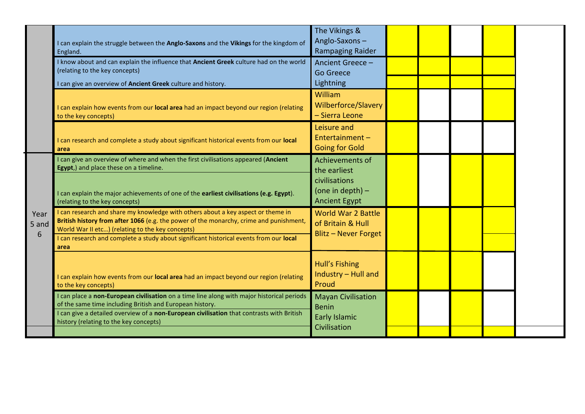|                    | I can explain the struggle between the Anglo-Saxons and the Vikings for the kingdom of<br>England.<br>I know about and can explain the influence that Ancient Greek culture had on the world<br>(relating to the key concepts)                                                                                                 | The Vikings &<br>Anglo-Saxons-<br><b>Rampaging Raider</b><br>Ancient Greece -<br><b>Go Greece</b> |  |  |  |
|--------------------|--------------------------------------------------------------------------------------------------------------------------------------------------------------------------------------------------------------------------------------------------------------------------------------------------------------------------------|---------------------------------------------------------------------------------------------------|--|--|--|
|                    | can give an overview of Ancient Greek culture and history.<br>I can explain how events from our <b>local area</b> had an impact beyond our region (relating<br>to the key concepts)                                                                                                                                            | Lightning<br>William<br>Wilberforce/Slavery<br>- Sierra Leone                                     |  |  |  |
|                    | can research and complete a study about significant historical events from our local<br>area                                                                                                                                                                                                                                   | Leisure and<br>Entertainment-<br><b>Going for Gold</b>                                            |  |  |  |
|                    | can give an overview of where and when the first civilisations appeared (Ancient<br>Egypt,) and place these on a timeline.<br>I can explain the major achievements of one of the earliest civilisations (e.g. Egypt).<br>(relating to the key concepts)                                                                        | Achievements of<br>the earliest<br>civilisations<br>(one in depth) $-$<br><b>Ancient Egypt</b>    |  |  |  |
| Year<br>5 and<br>6 | I can research and share my knowledge with others about a key aspect or theme in<br>British history from after 1066 (e.g. the power of the monarchy, crime and punishment,<br>World War II etc) (relating to the key concepts)<br>can research and complete a study about significant historical events from our local<br>area | <b>World War 2 Battle</b><br>of Britain & Hull<br><b>Blitz - Never Forget</b>                     |  |  |  |
|                    | I can explain how events from our local area had an impact beyond our region (relating<br>to the key concepts)                                                                                                                                                                                                                 | Hull's Fishing<br>Industry - Hull and<br>Proud                                                    |  |  |  |
|                    | I can place a non-European civilisation on a time line along with major historical periods<br>of the same time including British and European history.<br>can give a detailed overview of a non-European civilisation that contrasts with British<br>history (relating to the key concepts)                                    | <b>Mayan Civilisation</b><br><b>Benin</b><br>Early Islamic<br>Civilisation                        |  |  |  |